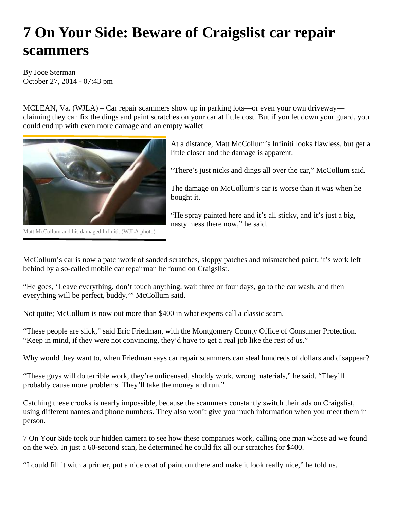## **7 On Your Side: Beware of Craigslist car repair scammers**

By Joce Sterman October 27, 2014 - 07:43 pm

MCLEAN, Va. (WJLA) – Car repair scammers show up in parking lots—or even your own driveway claiming they can fix the dings and paint scratches on your car at little cost. But if you let down your guard, you could end up with even more damage and an empty wallet.



Matt McCollum and his damaged Infiniti. (WJLA photo)

At a distance, Matt McCollum's Infiniti looks flawless, but get a little closer and the damage is apparent.

"There's just nicks and dings all over the car," McCollum said.

The damage on McCollum's car is worse than it was when he bought it.

"He spray painted here and it's all sticky, and it's just a big, nasty mess there now," he said.

McCollum's car is now a patchwork of sanded scratches, sloppy patches and mismatched paint; it's work left behind by a so-called mobile car repairman he found on Craigslist.

"He goes, 'Leave everything, don't touch anything, wait three or four days, go to the car wash, and then everything will be perfect, buddy," McCollum said.

Not quite; McCollum is now out more than \$400 in what experts call a classic scam.

"These people are slick," said Eric Friedman, with the Montgomery County Office of Consumer Protection. "Keep in mind, if they were not convincing, they'd have to get a real job like the rest of us."

Why would they want to, when Friedman says car repair scammers can steal hundreds of dollars and disappear?

"These guys will do terrible work, they're unlicensed, shoddy work, wrong materials," he said. "They'll probably cause more problems. They'll take the money and run."

Catching these crooks is nearly impossible, because the scammers constantly switch their ads on Craigslist, using different names and phone numbers. They also won't give you much information when you meet them in person.

7 On Your Side took our hidden camera to see how these companies work, calling one man whose ad we found on the web. In just a 60-second scan, he determined he could fix all our scratches for \$400.

"I could fill it with a primer, put a nice coat of paint on there and make it look really nice," he told us.